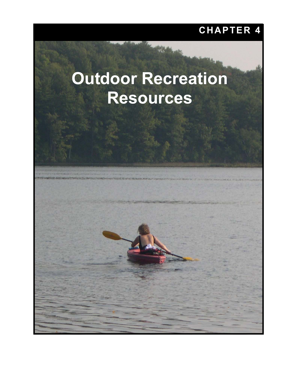# **CHAPTER 4**

# **Outdoor Recreation Resources**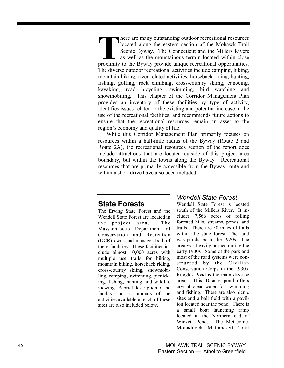here are many outstanding outdoor recreational resources located along the eastern section of the Mohawk Trail Scenic Byway. The Connecticut and the Millers Rivers as well as the mountainous terrain located within close **EXECUTE:** The are many outstanding outdoor recreational resources located along the eastern section of the Mohawk Trail Scenic Byway. The Connecticut and the Millers Rivers as well as the mountainous terrain located withi The diverse outdoor recreational activities include camping, hiking, mountain biking, river related activities, horseback riding, hunting, fishing, golfing, rock climbing, cross-country skiing, canoeing, kayaking, road bicycling, swimming, bird watching and snowmobiling. This chapter of the Corridor Management Plan provides an inventory of these facilities by type of activity, identifies issues related to the existing and potential increase in the use of the recreational facilities, and recommends future actions to ensure that the recreational resources remain an asset to the region's economy and quality of life.

While this Corridor Management Plan primarily focuses on resources within a half-mile radius of the Byway (Route 2 and Route 2A), the recreational resources section of the report does include attractions that are located outside of this project area boundary, but within the towns along the Byway. Recreational resources that are primarily accessible from the Byway route and within a short drive have also been included.

# **State Forests**

The Erving State Forest and the Wendell State Forest are located in the project area. The Massachusetts Department of Conservation and Recreation (DCR) owns and manages both of these facilities. These facilities include almost 10,000 acres with multiple use trails for hiking, mountain biking, horseback riding, cross-country skiing, snowmobiling, camping, swimming, picnicking, fishing, hunting and wildlife viewing. A brief description of the facility and a summary of the activities available at each of these sites are also included below.

# *Wendell State Forest*

Wendell State Forest is located south of the Millers River. It includes 7,566 acres of rolling forested hills, streams, ponds, and trails. There are 50 miles of trails within the state forest. The land was purchased in the 1920s. The area was heavily burned during the early 1900s. Some of the park and most of the road systems were constructed by the Civilian Conservation Corps in the 1930s. Ruggles Pond is the main day-use area. This 10-acre pond offers crystal clear water for swimming and fishing. There are also picnic sites and a ball field with a pavilion located near the pond. There is a small boat launching ramp located at the Northern end of Wickett Pond. The Metacomet Monadnock Mattabesett Trail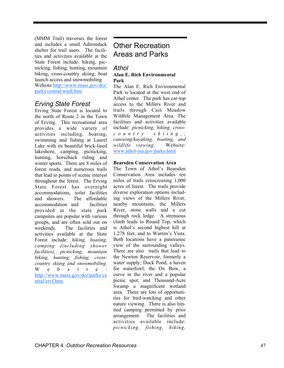(MMM Trail) traverses the forest and includes a small Adirondack shelter for trail users. The facilities and activities available at the State Forest include: hiking, picnicking, fishing, hunting, mountain biking, cross-country skiing, boat launch access and snowmobiling.

Website:http://www.mass.gov/dcr/ parks/central/wndl.htm

# *Erving State Forest*

Erving State Forest is located to the north of Route 2 in the Town of Erving. This recreational area provides a wide variety of activities including, boating, swimming and fishing at Laurel Lake with its beautiful brick-lined lakeshore, camping, picnicking, hunting, horseback riding and winter sports. There are 8 miles of forest roads, and numerous trails that lead to points of scenic interest throughout the forest. The Erving State Forest has overnight accommodations, toilet facilities and showers. The affordable accommodation and facilities provided at the state park campsites are popular with various groups, and are often sold out on weekends. The facilities and activities available at the State Forest include: *hiking, boating, camping (including shower facilities), picnicking, mountain biking, hunting, fishing, crosscountry skiing and snowmobiling.* W  $e$  b  $s$  i t  $e$ http://www.mass.gov/dcr/parks/ce ntral/ervf.htm

# Other Recreation Areas and Parks

# *Athol*

#### **Alan E. Rich Environmental Park**

The Alan E. Rich Environmental Park is located at the west end of Athol center. The park has car-top access to the Millers River and trails through Cass Meadow Wildlife Management Area. The facilities and activities available include: *picnicking, hiking, crossc o u n t r y s k i i n g , , canoeing/kayaking, boating, and wildlife viewing.* Website: www.athol-ma.gov/parks.html

## **Bearsden Conservation Area**

The Town of Athol's Bearsden Conservation Area includes ten miles of trails crisscrossing 1,000 acres of forest. The trails provide diverse exploration options including views of the Millers River, nearby mountains, the Millers River, stone walls and a cut through rock ledge. A strenuous climb leads to Round Top, which is Athol's second highest hill at 1,278 feet, and to Warren's Vista. Both locations have a panoramic view of the surrounding valleys. There are also trails that lead to the Newton Reservoir, formerly a water supply; Duck Pond, a haven for waterfowl; the Ox Bow, a curve in the river and a popular picnic spot; and Thousand-Acre Swamp a magnificent wetland area. There are lots of opportunities for bird-watching and other nature viewing. There is also limited camping permitted by prior arrangement. The facilities and activities available include: *picnicking, fishing, hiking,*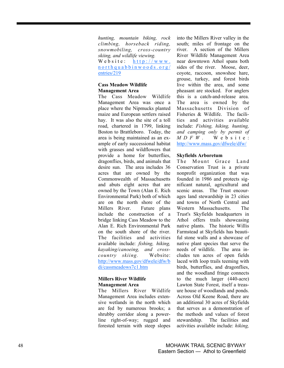*hunting, mountain biking, rock climbing, horseback riding, snowmobiling, cross-country skiing, and wildlife viewing.* Website:  $h$  t t p : //www. northquabbinwoods.org/ entries/219

## **Cass Meadow Wildlife Management Area**

The Cass Meadow Wildlife Management Area was once a place where the Nipmucks planted maize and European settlers raised hay. It was also the site of a toll road, chartered in 1799, linking Boston to Brattleboro. Today, the area is being maintained as an example of early successional habitat with grasses and wildflowers that provide a home for butterflies, dragonflies, birds, and animals that desire sun. The area includes 36 acres that are owned by the Commonwealth of Massachusetts and abuts eight acres that are owned by the Town (Alan E. Rich Environmental Park) both of which are on the north shore of the Millers River. Future plans include the construction of a bridge linking Cass Meadow to the Alan E. Rich Environmental Park on the south shore of the river. The facilities and activities available include: *fishing, hiking, kayaking/canoeing, and crosscountry skiing.* Website: http://www.mass.gov/dfwele/dfw/b di/cassmeadows7c1.htm

## **Millers River Wildlife Management Area**

The Millers River Wildlife Management Area includes extensive wetlands in the north which are fed by numerous brooks; a shrubby corridor along a powerline right-of-way; rugged and forested terrain with steep slopes

into the Millers River valley in the south; miles of frontage on the river. A section of the Millers River Wildlife Management Area near downtown Athol spans both sides of the river. Moose, deer, coyote, raccoon, snowshoe hare, grouse, turkey, and forest birds live within the area, and some pheasant are stocked. For anglers this is a catch-and-release area. The area is owned by the Massachusetts Division of Fisheries & Wildlife. The facilities and activities available include: *Fishing, hiking, hunting, and camping only by permit of MDFW.* W e b s i t e : http://www.mass.gov/dfwele/dfw/

## **Skyfields Arboretum**

The Mount Grace Land Conservation Trust is a private nonprofit organization that was founded in 1986 and protects significant natural, agricultural and scenic areas. The Trust encourages land stewardship in 23 cities and towns of North Central and Western Massachusetts. The Trust's Skyfields headquarters in Athol offers trails showcasing native plants. The historic Willis Farmstead at Skyfields has beautiful stone walls and a showcase of native plant species that serve the needs of wildlife. The area includes ten acres of open fields laced with loop trails teeming with birds, butterflies, and dragonflies, and the woodland fringe connects to the much larger (440-acre) Lawton State Forest, itself a treasure house of woodlands and ponds. Across Old Keene Road, there are an additional 30 acres of Skyfields that serves as a demonstration of the methods and values of forest stewardship. The facilities and activities available include: *hiking,*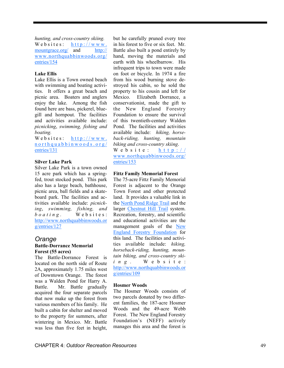*hunting, and cross-country skiing.*  Websites:  $h$ ttp://www. mountgrace.org/ and http:// www.northquabbinwoods.org/ entries/154

#### **Lake Ellis**

Lake Ellis is a Town owned beach with swimming and boating activities. It offers a great beach and picnic area. Boaters and anglers enjoy the lake. Among the fish found here are bass, pickerel, bluegill and hornpout. The facilities and activities available include: *picnicking*, *swimming, fishing and boating.* 

Websites:  $h$ ttp://www. northquabbinwoods.org/ entries/131

#### **Silver Lake Park**

Silver Lake Park is a town owned 15 acre park which has a springfed, trout stocked pond. This park also has a large beach, bathhouse, picnic area, ball fields and a skateboard park. The facilities and activities available include: *picnicking*, *swimming, fishing, and boating.* Websites: http://www.northquabbinwoods.or g/entries/127

## *Orange*  **Battle-Dorrance Memorial Forest (55 acres)**

The Battle-Dorrance Forest is located on the north side of Route 2A, approximately 1.75 miles west of Downtown Orange. The forest was a Walden Pond for Harry A. Battle. Mr. Battle gradually acquired the four separate parcels that now make up the forest from various members of his family. He built a cabin for shelter and moved to the property for summers, after wintering in Mexico. Mr. Battle was less than five feet in height,

but he carefully pruned every tree in his forest to five or six feet. Mr. Battle also built a pond entirely by hand, moving the materials and earth with his wheelbarrow. His infrequent trips to town were made on foot or bicycle. In 1974 a fire from his wood burning stove destroyed his cabin, so he sold the property to his cousin and left for Mexico. Elizabeth Dorrance, a conservationist, made the gift to the New England Forestry Foundation to ensure the survival of this twentieth-century Walden Pond. The facilities and activities available include: *hiking, horseback-riding, hunting, mountain biking and cross-country skiing*. Website: http://

www.northquabbinwoods.org/ entries/153

#### **Fittz Family Memorial Forest**

The 75-acre Fittz Family Memorial Forest is adjacent to the Orange Town Forest and other protected land. It provides a valuable link in the North Pond Ridge Trail and the larger Chestnut Hill Trail system. Recreation, forestry, and scientific and educational activities are the management goals of the New England Forestry Foundation for this land. The facilities and activities available include: *hiking, horseback-riding, hunting, mountain biking, and cross-country skiing.* W e b s i t e : http://www.northquabbinwoods.or g/entries/109

#### **Hosmer Woods**

The Hosmer Woods consists of two parcels donated by two different families, the 187-acre Hosmer Woods and the 49-acre Webb Forest. The New England Forestry Foundation's (NEFF) actively manages this area and the forest is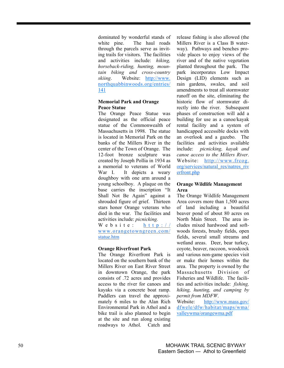dominated by wonderful stands of white pine. The haul roads through the parcels serve as inviting trails for visitors. The facilities and activities include: *hiking, horseback-riding, hunting, mountain biking and cross-country skiing*. Website: http://www. northquabbinwoods.org/entries/ 141

#### **Memorial Park and Orange Peace Statue**

The Orange Peace Statue was designated as the official peace statue of the Commonwealth of Massachusetts in 1998. The statue is located in Memorial Park on the banks of the Millers River in the center of the Town of Orange. The 12-foot bronze sculpture was created by Joseph Pollia in 1934 as a memorial to veterans of World War I. It depicts a weary doughboy with one arm around a young schoolboy. A plaque on the base carries the inscription "It Shall Not Be Again" against a shrouded figure of grief. Thirteen stars honor Orange veterans who died in the war. The facilities and activities include: *picnicking.*  Website: http://

www.orangetowngreen.com/ statue.htm

## **Orange Riverfront Park**

The Orange Riverfront Park is located on the southern bank of the Millers River on East River Street in downtown Orange, the park consists of .72 acres and provides access to the river for canoes and kayaks via a concrete boat ramp. Paddlers can travel the approximately 6 miles to the Alan Rich Environmental Park in Athol and a bike trail is also planned to begin at the site and run along existing roadways to Athol. Catch and release fishing is also allowed (the Millers River is a Class B waterway). Pathways and benches provide places to enjoy views of the river and of the native vegetation planted throughout the park. The park incorporates Low Impact Design (LID) elements such as rain gardens, swales, and soil amendments to treat all stormwater runoff on the site, eliminating the historic flow of stormwater directly into the river. Subsequent phases of construction will add a building for use as a canoe/kayak rental facility and a system of handicapped accessible docks with an overlook and a gazebo. The facilities and activities available include: *picnicking, kayak and canoe access to the Millers River*. Website: http://www.frcog. org/services/natural\_res/natres\_riv erfront.php

#### **Orange Wildlife Management Area**

The Orange Wildlife Management Area covers more than 1,500 acres of land including a beautiful beaver pond of about 80 acres on North Main Street. The area includes mixed hardwood and softwoods forests, brushy fields, open fields, several small streams and wetland areas. Deer, bear turkey, coyote, beaver, raccoon, woodcock and various non-game species visit or make their homes within the area. The property is owned by the Massachusetts Division of Fisheries and Wildlife. The facilities and activities include: *fishing, hiking, hunting, and camping by permit from MDFW*.

Website: http://www.mass.gov/ dfwele/dfw/habitat/maps/wma/ valleywma/orangewma.pdf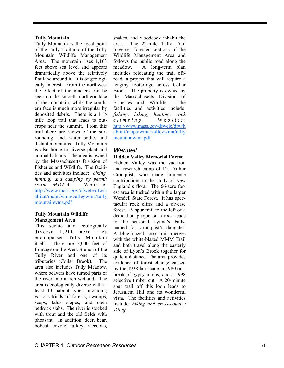#### **Tully Mountain**

Tully Mountain is the focal point of the Tully Trail and of the Tully Mountain Wildlife Management Area. The mountain rises 1,163 feet above sea level and appears dramatically above the relatively flat land around it. It is of geologically interest. From the northwest the effect of the glaciers can be seen on the smooth northern face of the mountain, while the southern face is much more irregular by deposited debris. There is a  $1\frac{1}{2}$ mile loop trail that leads to outcrops near the summit. From this trail there are views of the surrounding land, water bodies and distant mountains. Tully Mountain is also home to diverse plant and animal habitats. The area is owned by the Massachusetts Division of Fisheries and Wildlife. The facilities and activities include: *hiking, hunting, and camping by permit from MDFW*. Website: http://www.mass.gov/dfwele/dfw/h abitat/maps/wma/valleywma/tully mountainwma.pdf

#### **Tully Mountain Wildlife Management Area**

This scenic and ecologically diverse 1,200 acre area encompasses Tully Mountain itself. There are 3,000 feet of frontage on the West Branch of the Tully River and one of its tributaries (Collar Brook). The area also includes Tully Meadow, where beavers have turned parts of the river into a rich wetland. The area is ecologically diverse with at least 13 habitat types, including various kinds of forests, swamps, seeps, talus slopes, and open bedrock slabs. The river is stocked with trout and the old fields with pheasant. In addition, deer, bear, bobcat, coyote, turkey, raccoons,

snakes, and woodcock inhabit the area. The 22-mile Tully Trail traverses forested sections of the Wildlife Management Area and follows the public road along the meadow. A long-term plan includes relocating the trail offroad, a project that will require a lengthy footbridge across Collar Brook. The property is owned by the Massachusetts Division of Fisheries and Wildlife. The facilities and activities include: *fishing, hiking, hunting, rock climbing* . W e b s i t e : http://www.mass.gov/dfwele/dfw/h abitat/maps/wma/valleywma/tully mountainwma.pdf

# *Wendell*

#### **Hidden Valley Memorial Forest**

Hidden Valley was the vacation and research camp of Dr. Arthur Cronquist, who made immense contributions to the study of New England's flora. The 66-acre forest area is tucked within the larger Wendell State Forest. It has spectacular rock cliffs and a diverse forest. A spur trail to the left of a dedication plaque on a rock leads to the seasonal Lynne's Falls, named for Cronquist's daughter. A blue-blazed loop trail merges with the white-blazed MMM Trail and both travel along the easterly side of Lyon's Brook together for quite a distance. The area provides evidence of forest change caused by the 1938 hurricane, a 1980 outbreak of gypsy moths, and a 1998 selective timber cut. A 20-minute spur trail off this loop leads to Jerusalem Hill and its wonderful vista. The facilities and activities include: *hiking and cross-country skiing.*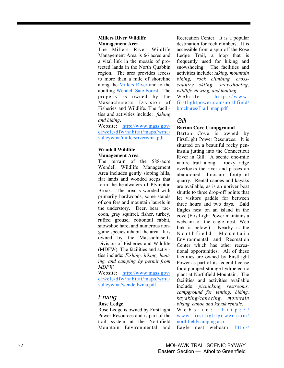## **Millers River Wildlife Management Area**

The Millers River Wildlife Management Area is 66 acres and a vital link in the mosaic of protected lands in the North Quabbin region. The area provides access to more than a mile of shoreline along the Millers River and to the abutting Wendell Sate Forest. The property is owned by the Massachusetts Division of Fisheries and Wildlife. The facilities and activities include: *fishing and hiking*.

Website: http://www.mass.gov/ dfwele/dfw/habitat/maps/wma/ valleywma/millersriverwma.pdf

# **Wendell Wildlife Management Area**

The terrain of the 588-acre Wendell Wildlife Management Area includes gently sloping hills, flat lands and wooded seeps that form the headwaters of Plympton Brook. The area is wooded with primarily hardwoods, some stands of conifers and mountain laurels in the understory. Deer, bear, raccoon, gray squirrel, fisher, turkey, ruffed grouse, cottontail rabbit, snowshoe hare, and numerous nongame species inhabit the area. It is owned by the Massachusetts Division of Fisheries and Wildlife (MDFW). The facilities and activities include: *Fishing, hiking, hunting, and camping by permit from MDFW.* 

Website: http://www.mass.gov/ dfwele/dfw/habitat/maps/wma/ valleywma/wendellwma.pdf

# *Erving*  **Rose Ledge**

Rose Ledge is owned by FirstLight Power Resources and is part of the trail system at the Northfield Mountain Environmental and

Recreation Center. It is a popular destination for rock climbers. It is accessible from a spur off the Rose Ledge Trail, a loop that is frequently used for hiking and snowshoeing. The facilities and activities include: h*iking, mountain biking, rock climbing, crosscountry skiing, snowshoeing, wildlife viewing, and hunting.*   $Website: \hbox{http://www.}$ firstlightpower.com/northfield/

brochures/Trail\_map.pdf

# *Gill*

# **Barton Cove Campground**

Barton Cove is owned by FirstLight Power Resources. It is situated on a beautiful rocky peninsula jutting into the Connecticut River in Gill. A scenic one-mile nature trail along a rocky ridge overlooks the river and passes an abandoned dinosaur footprint quarry. Rental canoes and kayaks are available, as is an upriver boat shuttle to three drop-off points that let visitors paddle for between three hours and two days. Bald Eagles nest on an island in the cove (FirstLight Power maintains a webcam of the eagle nest. Web link is below.). Nearby is the N o r th f i e l d M o u n t a i n Environmental and Recreation Center which has other recreational opportunities. All of these facilities are owned by FirstLight Power as part of its federal license for a pumped-storage hydroelectric plant at Northfield Mountain. The facilities and activities available include: *picnicking, restrooms, campground for tenting, hiking, kayaking/canoeing, mountain biking, canoe and kayak rentals*.

Website: http:// www.firstlightpower.com/ northfield/camping.asp Eagle nest webcam: http://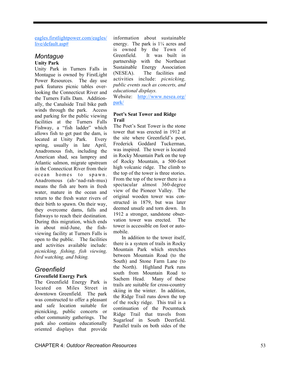eagles.firstlightpower.com/eagles/ live/default.asp#

## *Montague*  **Unity Park**

Unity Park in Turners Falls in Montague is owned by FirstLight Power Resources. The day use park features picnic tables overlooking the Connecticut River and the Turners Falls Dam. Additionally, the Canalside Trail bike path winds through the park. Access and parking for the public viewing facilities at the Turners Falls Fishway, a "fish ladder" which allows fish to get past the dam, is located at Unity Park. Every spring, usually in late April, Anadromous fish, including the American shad, sea lamprey and Atlantic salmon, migrate upstream in the Connecticut River from their ocean homes to spawn. Anadromous (ah-'nad-rah-mus) means the fish are born in fresh water, mature in the ocean and return to the fresh water rivers of their birth to spawn. On their way, they overcome dams, falls and fishways to reach their destination. During this migration, which ends in about mid-June, the fishviewing facility at Turners Falls is open to the public. The facilities and activities available include: *picnicking, fishing, fish viewing, bird watching, and biking.* 

# *Greenfield*

# **Greenfield Energy Park**

The Greenfield Energy Park is located on Miles Street in downtown Greenfield. The park was constructed to offer a pleasant and safe location suitable for picnicking, public concerts or other community gatherings. The park also contains educationally oriented displays that provide

information about sustainable energy. The park is  $1\frac{1}{4}$  acres and is owned by the Town of Greenfield. It was built in partnership with the Northeast Sustainable Energy Association (NESEA). The facilities and activities include: *picnicking, public events such as concerts, and educational displays.*

Website: http://www.nesea.org/ park/

#### **Poet's Seat Tower and Ridge Trail**

The Poet's Seat Tower is the stone tower that was erected in 1912 at the site where Greenfield's poet, Frederick Goddard Tuckerman, was inspired. The tower is located in Rocky Mountain Park on the top of Rocky Mountain, a 500-foot high volcanic ridge. The climb to the top of the tower is three stories. From the top of the tower there is a spectacular almost 360-degree view of the Pioneer Valley. The original wooden tower was constructed in 1879, but was later deemed unsafe and torn down. In 1912 a stronger, sandstone observation tower was erected. The tower is accessible on foot or automobile.

In addition to the tower itself, there is a system of trails in Rocky Mountain Park which stretches between Mountain Road (to the South) and Stone Farm Lane (to the North). Highland Park runs south from Mountain Road to Sachem Head. Many of these trails are suitable for cross-country skiing in the winter. In addition, the Ridge Trail runs down the top of the rocky ridge. This trail is a continuation of the Pocumtuck Ridge Trail that travels from Sugarloaf in South Deerfield. Parallel trails on both sides of the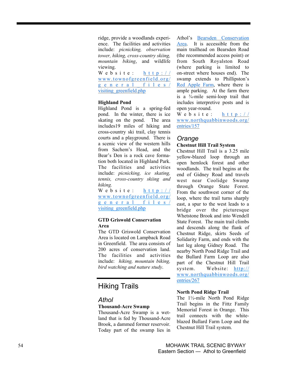ridge, provide a woodlands experience. The facilities and activities include: *picnicking, observation tower, hiking, cross-country skiing, mountain biking*, and wildlife viewing.

Website: http:// www.townofgreenfield.org/ general\_files/ visiting\_greenfield.php

## **Highland Pond**

Highland Pond is a spring-fed pond. In the winter, there is ice skating on the pond. The area includes19 miles of hiking and cross-country ski trail, clay tennis courts and a playground. There is a scenic view of the western hills from Sachem's Head, and the Bear's Den is a rock cave formation both located in Highland Park. The facilities and activities include: *picnicking, ice skating, tennis, cross-country skiing and hiking.* 

Website: http:// www.townofgreenfield.org/ general\_files/ visiting\_greenfield.php

## **GTD Griswold Conservation Area**

The GTD Griswold Conservation Area is located on Lampback Road in Greenfield. The area consists of 200 acres of conservation land. The facilities and activities include: *hiking, mountain biking, bird watching and nature study*.

# Hiking Trails

# *Athol*

## **Thousand-Acre Swamp**

Thousand-Acre Swamp is a wetland that is fed by Thousand-Acre Brook, a dammed former reservoir. Today part of the swamp lies in Athol's Bearsden Conservation Area. It is accessible from the main trailhead on Bearsden Road (the recommended access point) or from South Royalston Road (where parking is limited to on-street where houses end). The swamp extends to Phillipston's Red Apple Farm, where there is ample parking. At the farm there is a  $\frac{3}{4}$ -mile semi-loop trail that includes interpretive posts and is open year-round.

Website: http:// www.northquabbinwoods.org/ entries/157

# *Orange*

## **Chestnut Hill Trail System**

Chestnut Hill Trail is a 3.25 mile yellow-blazed loop through an open hemlock forest and other woodlands. The trail begins at the end of Gidney Road and travels west near Coolidge Swamp through Orange State Forest. From the southwest corner of the loop, where the trail turns sharply east, a spur to the west leads to a bridge over the picturesque Whetstone Brook and into Wendell State Forest. The main trail climbs and descends along the flank of Chestnut Ridge, skirts Seeds of Solidarity Farm, and ends with the last leg along Gidney Road. The nearby North Pond Ridge Trail and the Bullard Farm Loop are also part of the Chestnut Hill Trail system. Website: http:// www.northquabbinwoods.org/ entries/267

#### **North Pond Ridge Trail**

The 1½-mile North Pond Ridge Trail begins in the Fittz Family Memorial Forest in Orange. This trail connects with the whiteblazed Bullard Farm Loop and the Chestnut Hill Trail system.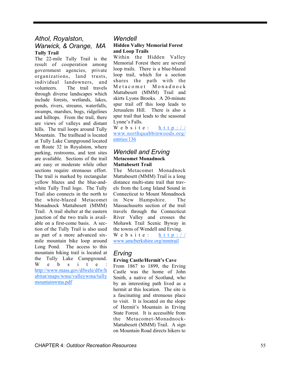# *Athol, Royalston, Warwick, & Orange, MA*  **Tully Trail**

The 22-mile Tully Trail is the result of cooperation among government agencies, private organizations, land trusts, individual landowners, and volunteers. The trail travels through diverse landscapes which include forests, wetlands, lakes, ponds, rivers, streams, waterfalls, swamps, marshes, bogs, ridgelines and hilltops. From the trail, there are views of valleys and distant hills. The trail loops around Tully Mountain. The trailhead is located at Tully Lake Campground located on Route 32 in Royalston, where parking, restrooms, and tent sites are available. Sections of the trail are easy or moderate while other sections require strenuous effort. The trail is marked by rectangular yellow blazes and the blue-andwhite Tully Trail logo. The Tully Trail also connects in the north to the white-blazed Metacomet Monadnock Mattabesett (MMM) Trail. A trail shelter at the eastern junction of the two trails is available on a first-come basis. A section of the Tully Trail is also used as part of a more advanced sixmile mountain bike loop around Long Pond. The access to this mountain biking trail is located at the Tully Lake Campground. W e b s i t e : http://www.mass.gov/dfwele/dfw/h abitat/maps/wma/valleywma/tully mountainwma.pdf

## *Wendell*

#### **Hidden Valley Memorial Forest and Loop Trails**

Within the Hidden Valley Memorial Forest there are several loop trails. There is a blue-blazed loop trail, which for a section shares the path with the  $M$  e t a c o m e t  $M$  o n a d n o c k Mattabesett (MMM) Trail and skirts Lyons Brooks. A 20-minute spur trail off this loop leads to Jerusalem Hill. There is also a spur trail that leads to the seasonal Lynne's Falls.

Website: http:// www.northquabbinwoods.org/ entries/136

## *Wendell and Erving*  **Metacomet Monadnock Mattabesett Trail**

The Metacomet Monadnock Mattabesett (MMM) Trail is a long distance multi-state trail that travels from the Long Island Sound in Connecticut to Mount Monadnock in New Hampshire. The Massachusetts section of the trail travels through the Connecticut River Valley and crosses the Mohawk Trail Scenic Byway in the towns of Wendell and Erving. Website: http:// www.amcberkshire.org/mmtrail

# *Erving*

#### **Erving Castle/Hermit's Cave**

From 1867 to 1899, the Erving Castle was the home of John Smith, a native of Scotland, who by an interesting path lived as a hermit at this location. The site is a fascinating and strenuous place to visit. It is located on the slope of Hermit's Mountain in Erving State Forest. It is accessible from the Metacomet-Monadnock-Mattabesett (MMM) Trail. A sign on Mountain Road directs hikers to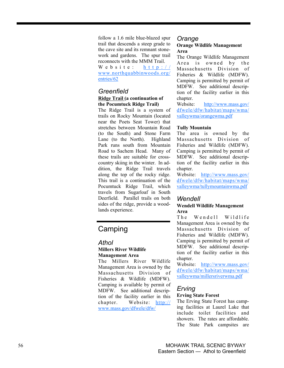follow a 1.6 mile blue-blazed spur trail that descends a steep grade to the cave site and its remnant stonework and gardens. The spur trail reconnects with the MMM Trail. Website: http:// www.northquabbinwoods.org/ entries/62

# *Greenfield*

#### **Ridge Trail (a continuation of the Pocumtuck Ridge Trail)**

The Ridge Trail is a system of trails on Rocky Mountain (located near the Poets Seat Tower) that stretches between Mountain Road (to the South) and Stone Farm Lane (to the North). Highland Park runs south from Mountain Road to Sachem Head. Many of these trails are suitable for crosscountry skiing in the winter. In addition, the Ridge Trail travels along the top of the rocky ridge. This trail is a continuation of the Pocumtuck Ridge Trail, which travels from Sugarloaf in South Deerfield. Parallel trails on both sides of the ridge, provide a woodlands experience.

# Camping

# *Athol*  **Millers River Wildlife Management Area**

The Millers River Wildlife Management Area is owned by the Massachusetts Division of Fisheries & Wildlife (MDFW). Camping is available by permit of MDFW. See additional description of the facility earlier in this chapter. Website: http:// www.mass.gov/dfwele/dfw/

#### *Orange*  **Orange Wildlife Management Area**

The Orange Wildlife Management A rea is owned by the Massachusetts Division of Fisheries & Wildlife (MDFW). Camping is permitted by permit of MDFW. See additional description of the facility earlier in this chapter.

Website: http://www.mass.gov/ dfwele/dfw/habitat/maps/wma/ valleywma/orangewma.pdf

## **Tully Mountain**

The area is owned by the Massachusetts Division of Fisheries and Wildlife (MDFW). Camping is permitted by permit of MDFW. See additional description of the facility earlier in this chapter.

Website: http://www.mass.gov/ dfwele/dfw/habitat/maps/wma/ valleywma/tullymountainwma.pdf

# *Wendell*

## **Wendell Wildlife Management Area**

The Wendell Wildlife Management Area is owned by the Massachusetts Division of Fisheries and Wildlife (MDFW). Camping is permitted by permit of MDFW. See additional description of the facility earlier in this chapter.

Website: http://www.mass.gov/ dfwele/dfw/habitat/maps/wma/ valleywma/millersriverwma.pdf

# *Erving*  **Erving State Forest**

The Erving State Forest has camping facilities at Laurel Lake that include toilet facilities and showers. The rates are affordable. The State Park campsites are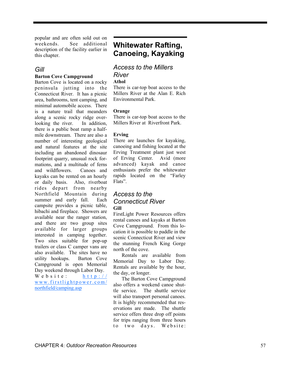popular and are often sold out on weekends. See additional description of the facility earlier in this chapter.

# *Gill*

## **Barton Cove Campground**

Barton Cove is located on a rocky peninsula jutting into the Connecticut River. It has a picnic area, bathrooms, tent camping, and minimal automobile access. There is a nature trail that meanders along a scenic rocky ridge overlooking the river. In addition, there is a public boat ramp a halfmile downstream. There are also a number of interesting geological and natural features at the site including an abandoned dinosaur footprint quarry, unusual rock formations, and a multitude of ferns and wildflowers. Canoes and kayaks can be rented on an hourly or daily basis. Also, riverboat rides depart from nearby Northfield Mountain during summer and early fall. Each campsite provides a picnic table, hibachi and fireplace. Showers are available near the ranger station, and there are two group sites available for larger groups interested in camping together. Two sites suitable for pop-up trailers or class C camper vans are also available. The sites have no utility hookups. Barton Cove Campground is open Memorial Day weekend through Labor Day. Website: http:// www.firstlightpower.com/ northfield/camping.asp

# **Whitewater Rafting, Canoeing, Kayaking**

# *Access to the Millers River*

#### **Athol**

There is car-top boat access to the Millers River at the Alan E. Rich Environmental Park.

#### **Orange**

There is car-top boat access to the Millers River at Riverfront Park.

#### **Erving**

There are launches for kayaking, canoeing and fishing located at the Erving Treatment plant just west of Erving Center. Avid (more advanced) kayak and canoe enthusiasts prefer the whitewater rapids located on the "Farley Flats".

## *Access to the Connecticut River*  **Gill**

FirstLight Power Resources offers rental canoes and kayaks at Barton Cove Campground. From this location it is possible to paddle in the scenic Connecticut River and view the stunning French King Gorge north of the cove.

Rentals are available from Memorial Day to Labor Day. Rentals are available by the hour, the day, or longer.

The Barton Cove Campground also offers a weekend canoe shuttle service. The shuttle service will also transport personal canoes. It is highly recommended that reservations are made. The shuttle service offers three drop off points for trips ranging from three hours to two days. Website: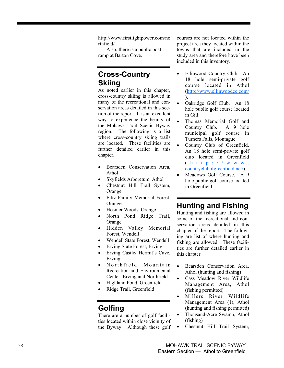http://www.firstlightpower.com/no rthfield/

Also, there is a public boat ramp at Barton Cove.

# **Cross-Country Skiing**

As noted earlier in this chapter, cross-country skiing is allowed in many of the recreational and conservation areas detailed in this section of the report. It is an excellent way to experience the beauty of the Mohawk Trail Scenic Byway region. The following is a list where cross-country skiing trails are located. These facilities are further detailed earlier in this chapter.

- Bearsden Conservation Area, Athol
- Skyfields Arboretum, Athol
- Chestnut Hill Trail System, Orange
- Fittz Family Memorial Forest, Orange
- Hosmer Woods, Orange
- North Pond Ridge Trail, **Orange**
- Hidden Valley Memorial Forest, Wendell
- Wendell State Forest, Wendell
- Erving State Forest, Erving
- Erving Castle/ Hermit's Cave, Erving
- Northfield Mountain Recreation and Environmental Center, Erving and Northfield
- Highland Pond, Greenfield
- Ridge Trail, Greenfield

# **Golfing**

There are a number of golf facilities located within close vicinity of the Byway. Although these golf courses are not located within the project area they located within the towns that are included in the study area and therefore have been included in this inventory.

- Ellinwood Country Club. An 18 hole semi-private golf course located in Athol (http://www.ellinwoodcc.com/ ).
- Oakridge Golf Club. An 18 hole public golf course located in Gill.
- Thomas Memorial Golf and Country Club. A 9 hole municipal golf course in Turners Falls, Montague
- Country Club of Greenfield. An 18 hole semi-private golf club located in Greenfield<br>( h t t p : / / w w w . countryclubofgreenfield.net/).
- Meadows Golf Course. A 9 hole public golf course located in Greenfield.

# **Hunting and Fishing**

Hunting and fishing are allowed in some of the recreational and conservation areas detailed in this chapter of the report. The following are list of where hunting and fishing are allowed. These facilities are further detailed earlier in this chapter.

- Bearsden Conservation Area, Athol (hunting and fishing)
- Cass Meadow River Wildlife Management Area, Athol (fishing permitted)
- Millers River Wildlife Management Area (1), Athol (hunting and fishing permitted)
- Thousand-Acre Swamp, Athol (fishing)
- Chestnut Hill Trail System,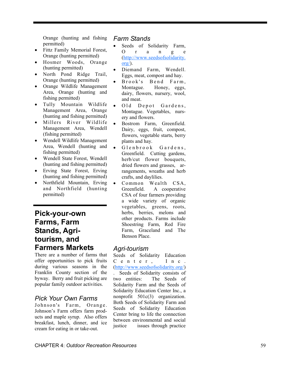Orange (hunting and fishing permitted)

- Fittz Family Memorial Forest, Orange (hunting permitted)
- Hosmer Woods, Orange (hunting permitted)
- North Pond Ridge Trail, Orange (hunting permitted)
- Orange Wildlife Management Area, Orange (hunting and fishing permitted)
- Tully Mountain Wildlife Management Area, Orange (hunting and fishing permitted)
- Millers River Wildlife Management Area, Wendell (fishing permitted)
- Wendell Wildlife Management Area, Wendell (hunting and fishing permitted)
- Wendell State Forest, Wendell (hunting and fishing permitted)
- Erving State Forest, Erving (hunting and fishing permitted)
- Northfield Mountain, Erving and Northfield (hunting permitted)

**Pick-your-own Farms, Farm Stands, Agritourism, and Farmers Markets** 

There are a number of farms that offer opportunities to pick fruits during various seasons in the Franklin County section of the byway. Berry and fruit picking are popular family outdoor activities.

# *Pick Your Own Farms*

Johnson's Farm, Orange. Johnson's Farm offers farm products and maple syrup. Also offers breakfast, lunch, dinner, and ice cream for eating in or take-out.

# *Farm Stands*

- Seeds of Solidarity Farm, O r a n g e (http://www.seedsofsolidarity.  $\text{org}$ .
- Diemand Farm, Wendell. Eggs, meat, compost and hay.
- Brook's Bend Farm, Montague. Honey, eggs, dairy, flowers, nursery, wool, and meat.
- Old Depot Gardens, Montague. Vegetables, nursery and flowers.
- Bostrom Farm, Greenfield. Dairy, eggs, fruit, compost, flowers, vegetable starts, berry plants and hay.
- Glenbrook Gardens, Greenfield. Cutting gardens, herb/cut flower bouquets, dried flowers and grasses, arrangements, wreaths and herb crafts, and daylilies.
- Common Wealth CSA, Greenfield. A cooperative CSA of four farmers providing a wide variety of organic vegetables, greens, roots, herbs, berries, melons and other products. Farms include Shoestring Farm, Red Fire Farm, Graceland and The Benson Place.

# *Agri-tourism*

Seeds of Solidarity Education C e n t e r , I n c . (http://www.seedsofsolidarity.org/) . Seeds of Solidarity consists of two entities: The Seeds of Solidarity Farm and the Seeds of Solidarity Education Center Inc., a nonprofit 501c(3) organization. Both Seeds of Solidarity Farm and Seeds of Solidarity Education Center bring to life the connection between environmental and social justice issues through practice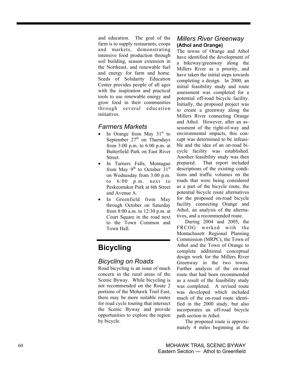and education. The goal of the farm is to supply restaurants, coops and markets, demonstrating intensive food production through soil building, season extension in the Northeast, and renewable fuel and energy for farm and home. Seeds of Solidarity Education Center provides people of all ages with the inspiration and practical tools to use renewable energy and grow food in their communities through several education initiatives.

# *Farmers Markets*

- In Orange from May  $31<sup>st</sup>$  to September  $27<sup>th</sup>$  on Thursdays from 3:00 p.m. to 6:00 p.m. at Butterfield Park on East River **Street**
- In Turners Falls, Montague from May  $9^{th}$  to October  $31^{st}$ on Wednesday from 3:00 p.m. to 6:00 p.m. next to Peskeomskut Park at 6th Street and Avenue A.
- In Greenfield from May through October on Saturday from 8:00 a.m. to 12:30 p.m. at Court Square in the road next to the Town Common and Town Hall.

# **Bicycling**

# *Bicycling on Roads*

Road bicycling is an issue of much concern in the rural areas of the Scenic Byway. While bicycling is not recommended on the Route 2 portions of the Mohawk Trail East, there may be more suitable routes for road cycle touring that intersect the Scenic Byway and provide opportunities to explore the region by bicycle.

# *Millers River Greenway*  **(Athol and Orange)**

The towns of Orange and Athol have identified the development of a bikeway/greenway along the Millers River as a priority, and have taken the initial steps towards completing a design. In 2000, an initial feasibility study and route assessment was completed for a potential off-road bicycle facility. Initially, the proposed project was to create a greenway along the Millers River connecting Orange and Athol. However, after an assessment of the right-of-way and environmental impacts, this concept was determined to be infeasible and the idea of an on-road bicycle facility was established. Another feasibility study was then prepared. That report included descriptions of the existing conditions and traffic volumes on the roads that were being considered as a part of the bicycle route, the potential bicycle route alternatives for the proposed on-road bicycle facility connecting Orange and Athol, an analysis of the alternatives, and a recommended route.

During 2004 and 2005, the FRCOG worked with the Montachusett Regional Planning Commission (MRPC), the Town of Athol and the Town of Orange to complete additional conceptual design work for the Millers River Greenway in the two towns. Further analysis of the on-road route that had been recommended as a result of the feasibility study was completed. A revised route was developed which included much of the on-road route identified in the 2000 study, but also incorporates an off-road bicycle path section in Athol.

The proposed route is approximately 4 miles beginning at the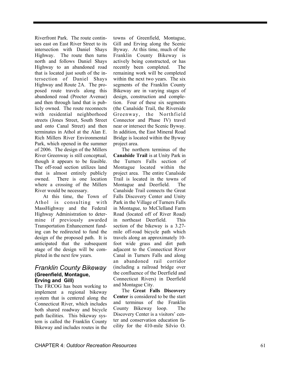Riverfront Park. The route continues east on East River Street to its intersection with Daniel Shays Highway. The route then turns north and follows Daniel Shays Highway to an abandoned road that is located just south of the intersection of Daniel Shays Highway and Route 2A. The proposed route travels along this abandoned road (Procter Avenue) and then through land that is publicly owned. The route reconnects with residential neighborhood streets (Jones Street, South Street and onto Canal Street) and then terminates in Athol at the Alan E. Rich Millers River Environmental Park, which opened in the summer of 2006. The design of the Millers River Greenway is still conceptual, though it appears to be feasible. The off-road section utilizes land that is almost entirely publicly owned. There is one location where a crossing of the Millers River would be necessary.

At this time, the Town of Athol is consulting with MassHighway and the Federal Highway Administration to determine if previously awarded Transportation Enhancement funding can be redirected to fund the design of the proposed path. It is anticipated that the subsequent stage of the design will be completed in the next few years.

# *Franklin County Bikeway*  **(Greenfield, Montague, Erving and Gill)**

The FRCOG has been working to implement a regional bikeway system that is centered along the Connecticut River, which includes both shared roadway and bicycle path facilities. This bikeway system is called the Franklin County Bikeway and includes routes in the

towns of Greenfield, Montague, Gill and Erving along the Scenic Byway. At this time, much of the Franklin County Bikeway is actively being constructed, or has recently been completed. The remaining work will be completed within the next two years. The six segments of the Franklin County Bikeway are in varying stages of design, construction and completion. Four of these six segments (the Canalside Trail, the Riverside Greenway, the Northfield Connector and Phase IV) travel near or intersect the Scenic Byway. In addition, the East Mineral Road Bridge is located within the Byway project area.

The northern terminus of the **Canalside Trail** is at Unity Park in the Turners Falls section of Montague located within the project area. The entire Canalside Trail is located in the towns of Montague and Deerfield. The Canalside Trail connects the Great Falls Discovery Center and Unity Park in the Village of Turners Falls in Montague, to McClelland Farm Road (located off of River Road) in northeast Deerfield. This section of the bikeway is a 3.27 mile off-road bicycle path which travels along an approximately 10 foot wide grass and dirt path adjacent to the Connecticut River Canal in Turners Falls and along an abandoned rail corridor (including a railroad bridge over the confluence of the Deerfield and Connecticut Rivers) in Deerfield and Montague City.

The **Great Falls Discovery Center** is considered to be the start and terminus of the Franklin County Bikeway loop. The Discovery Center is a visitors' center and conservation education facility for the 410-mile Silvio O.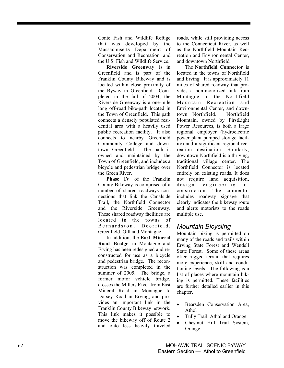Conte Fish and Wildlife Refuge that was developed by the Massachusetts Department of Conservation and Recreation, and the U.S. Fish and Wildlife Service.

**Riverside Greenway** is in Greenfield and is part of the Franklin County Bikeway and is located within close proximity of the Byway in Greenfield. Completed in the fall of 2004, the Riverside Greenway is a one-mile long off-road bike-path located in the Town of Greenfield. This path connects a densely populated residential area with a heavily used public recreation facility. It also connects to nearby Greenfield Community College and downtown Greenfield. The path is owned and maintained by the Town of Greenfield, and includes a bicycle and pedestrian bridge over the Green River.

**Phase IV** of the Franklin County Bikeway is comprised of a number of shared roadways connections that link the Canalside Trail, the Northfield Connector and the Riverside Greenway. These shared roadway facilities are located in the towns of Bernardston, Deerfield, Greenfield, Gill and Montague.

In addition, the **East Mineral Road Bridge** in Montague and Erving has been redesigned and reconstructed for use as a bicycle and pedestrian bridge. The reconstruction was completed in the summer of 2005. The bridge, a former motor vehicle bridge, crosses the Millers River from East Mineral Road in Montague to Dorsey Road in Erving, and provides an important link in the Franklin County Bikeway network. This link makes it possible to move the bikeway off of Route 2 and onto less heavily traveled roads, while still providing access to the Connecticut River, as well as the Northfield Mountain Recreation and Environmental Center, and downtown Northfield.

The **Northfield Connector** is located in the towns of Northfield and Erving. It is approximately 11 miles of shared roadway that provides a non-motorized link from Montague to the Northfield Mountain Recreation and Environmental Center, and downtown Northfield. Northfield Mountain, owned by FirstLight Power Resources, is both a large regional employer (hydroelectric power plant pumped storage facility) and a significant regional recreation destination. Similarly, downtown Northfield is a thriving, traditional village center. The Northfield Connector is located entirely on existing roads. It does not require land acquisition, design, engineering, or construction. The connector includes roadway signage that clearly indicates the bikeway route and alerts motorists to the roads multiple use.

# *Mountain Bicycling*

Mountain biking is permitted on many of the roads and trails within Erving State Forest and Wendell State Forest. Some of these areas offer rugged terrain that requires more experience, skill and conditioning levels. The following is a list of places where mountain biking is permitted. These facilities are further detailed earlier in this chapter.

- Bearsden Conservation Area, Athol
- Tully Trail, Athol and Orange
- Chestnut Hill Trail System, Orange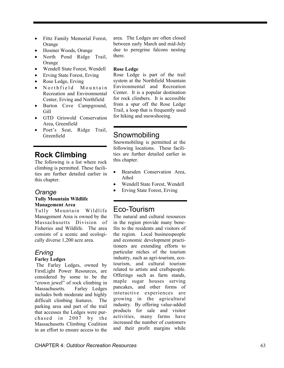- Fittz Family Memorial Forest, Orange
- Hosmer Woods, Orange
- North Pond Ridge Trail, **Orange**
- Wendell State Forest, Wendell
- Erving State Forest, Erving
- Rose Ledge, Erving
- Northfield Mountain Recreation and Environmental Center, Erving and Northfield
- Barton Cove Campground, Gill
- GTD Griswold Conservation Area, Greenfield
- Poet's Seat, Ridge Trail, Greenfield

# **Rock Climbing**

The following is a list where rock climbing is permitted. These facilities are further detailed earlier in this chapter.

## *Orange*

#### **Tully Mountain Wildlife Management Area**

Tully Mountain Wildlife Management Area is owned by the Massachusetts Division of Fisheries and Wildlife. The area consists of a scenic and ecologically diverse 1,200 acre area.

# *Erving*

#### **Farley Ledges**

The Farley Ledges, owned by FirstLight Power Resources, are considered by some to be the "crown jewel" of rock climbing in Massachusetts. Farley Ledges includes both moderate and highly difficult climbing features. The parking area and part of the trail that accesses the Ledges were purchased in  $2007$  by the Massachusetts Climbing Coalition in an effort to ensure access to the area. The Ledges are often closed between early March and mid-July due to peregrine falcons nesting there.

#### **Rose Ledge**

Rose Ledge is part of the trail system at the Northfield Mountain Environmental and Recreation Center. It is a popular destination for rock climbers. It is accessible from a spur off the Rose Ledge Trail, a loop that is frequently used for hiking and snowshoeing.

# Snowmobiling

Snowmobiling is permitted at the following locations. These facilities are further detailed earlier in this chapter.

- Bearsden Conservation Area, Athol
- Wendell State Forest, Wendell
- Erving State Forest, Erving

# Eco-Tourism

The natural and cultural resources in the region provide many benefits to the residents and visitors of the region. Local businesspeople and economic development practitioners are extending efforts to particular niches of the tourism industry, such as agri-tourism, ecotourism, and cultural tourism related to artists and craftspeople. Offerings such as farm stands, maple sugar houses serving pancakes, and other forms of interactive experiences are growing in the agricultural industry. By offering value-added products for sale and visitor activities, many farms have increased the number of customers and their profit margins while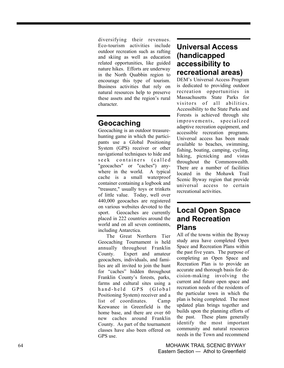diversifying their revenues. Eco-tourism activities include outdoor recreation such as rafting and skiing as well as education related opportunities, like guided nature hikes. Efforts are underway in the North Quabbin region to encourage this type of tourism. Business activities that rely on natural resources help to preserve these assets and the region's rural character.

# **Geocaching**

Geocaching is an outdoor treasurehunting game in which the participants use a Global Positioning System (GPS) receiver or other navigational techniques to hide and seek containers (called "geocaches" or "caches") anywhere in the world. A typical cache is a small waterproof container containing a logbook and "treasure," usually toys or trinkets of little value. Today, well over 440,000 geocaches are registered on various websites devoted to the sport. Geocaches are currently placed in 222 countries around the world and on all seven continents, including Antarctica.

The Great Northern Tier Geocaching Tournament is held annually throughout Franklin County. Expert and amateur geocachers, individuals, and families are all invited to join the hunt for "caches" hidden throughout Franklin County's forests, parks, farms and cultural sites using a hand-held GPS (Global Positioning System) receiver and a list of coordinates. Camp Keewanee in Greenfield is the home base, and there are over 60 new caches around Franklin County. As part of the tournament classes have also been offered on GPS use.

# **Universal Access (handicapped accessibility to recreational areas)**

DEM's Universal Access Program is dedicated to providing outdoor recreation opportunities in Massachusetts State Parks for visitors of all abilities. Accessibility to the State Parks and Forests is achieved through site improvements, specialized adaptive recreation equipment, and accessible recreation programs. Universal access has been made available to beaches, swimming, fishing, boating, camping, cycling, hiking, picnicking and vistas throughout the Commonwealth. There are a number of facilities located in the Mohawk Trail Scenic Byway region that provide universal access to certain recreational activities.

# **Local Open Space and Recreation Plans**

All of the towns within the Byway study area have completed Open Space and Recreation Plans within the past five years. The purpose of completing an Open Space and Recreation Plan is to provide an accurate and thorough basis for decision-making involving the current and future open space and recreation needs of the residents of the particular town in which the plan is being completed. The most updated plan brings together and builds upon the planning efforts of the past. These plans generally identify the most important community and natural resources needs in the Town and recommend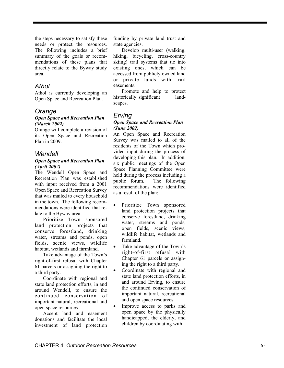the steps necessary to satisfy these needs or protect the resources. The following includes a brief summary of the goals or recommendations of these plans that directly relate to the Byway study area.

# *Athol*

Athol is currently developing an Open Space and Recreation Plan.

# *Orange*

## *Open Space and Recreation Plan (March 2002)*

Orange will complete a revision of its Open Space and Recreation Plan in 2009.

# *Wendell*

#### *Open Space and Recreation Plan (April 2002)*

The Wendell Open Space and Recreation Plan was established with input received from a 2001 Open Space and Recreation Survey that was mailed to every household in the town. The following recommendations were identified that relate to the Byway area:

Prioritize Town sponsored land protection projects that conserve forestland, drinking water, streams and ponds, open fields, scenic views, wildlife habitat, wetlands and farmland.

Take advantage of the Town's right-of-first refusal with Chapter 61 parcels or assigning the right to a third party.

Coordinate with regional and state land protection efforts, in and around Wendell, to ensure the continued conservation of important natural, recreational and open space resources.

Accept land and easement donations and facilitate the local investment of land protection

funding by private land trust and state agencies.

Develop multi-user (walking, hiking, bicycling, cross-country skiing) trail systems that tie into existing ones, which can be accessed from publicly owned land or private lands with trail easements.

Promote and help to protect historically significant landscapes.

#### *Erving Open Space and Recreation Plan (June 2002)*

An Open Space and Recreation Survey was mailed to all of the residents of the Town which provided input during the process of developing this plan. In addition, six public meetings of the Open Space Planning Committee were held during the process including a public forum. The following recommendations were identified as a result of the plan:

- Prioritize Town sponsored land protection projects that conserve forestland, drinking water, streams and ponds, open fields, scenic views, wildlife habitat, wetlands and farmland.
- Take advantage of the Town's right-of-first refusal with Chapter 61 parcels or assigning the right to a third party.
- Coordinate with regional and state land protection efforts, in and around Erving, to ensure the continued conservation of important natural, recreational and open space resources.
- Improve access to parks and open space by the physically handicapped, the elderly, and children by coordinating with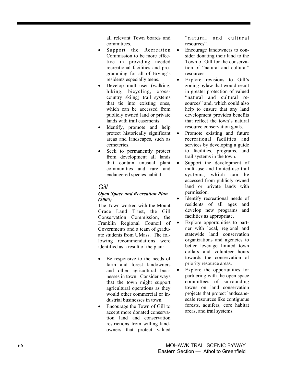all relevant Town boards and committees.

- Support the Recreation Commission to be more effective in providing needed recreational facilities and programming for all of Erving's residents especially teens.
- Develop multi-user (walking, hiking, bicycling, crosscountry skiing) trail systems that tie into existing ones, which can be accessed from publicly owned land or private lands with trail easements.
- Identify, promote and help protect historically significant areas and landscapes, such as cemeteries.
- Seek to permanently protect from development all lands that contain unusual plant communities and rare and endangered species habitat.

# *Gill*

## *Open Space and Recreation Plan (2005)*

The Town worked with the Mount Grace Land Trust, the Gill Conservation Commission, the Franklin Regional Council of Governments and a team of graduate students from UMass. The following recommendations were identified as a result of the plan:

- Be responsive to the needs of farm and forest landowners and other agricultural businesses in town. Consider ways that the town might support agricultural operations as they would other commercial or industrial businesses in town.
- Encourage the Town of Gill to accept more donated conservation land and conservation restrictions from willing landowners that protect valued

" natural and cultural resources".

- Encourage landowners to consider donating their land to the Town of Gill for the conservation of "natural and cultural" resources.
- Explore revisions to Gill's zoning bylaw that would result in greater protection of valued "natural and cultural resources" and, which could also help to ensure that any land development provides benefits that reflect the town's natural resource conservation goals.
- Promote existing and future recreational facilities and services by developing a guide to facilities, programs, and trail systems in the town.
- Support the development of multi-use and limited-use trail systems, which can be accessed from publicly owned land or private lands with permission.
- Identify recreational needs of residents of all ages and develop new programs and facilities as appropriate.
- Explore opportunities to partner with local, regional and statewide land conservation organizations and agencies to better leverage limited town dollars and volunteer hours towards the conservation of priority resource areas.
- Explore the opportunities for partnering with the open space committees of surrounding towns on land conservation projects that protect landscapescale resources like contiguous forests, aquifers, core habitat areas, and trail systems.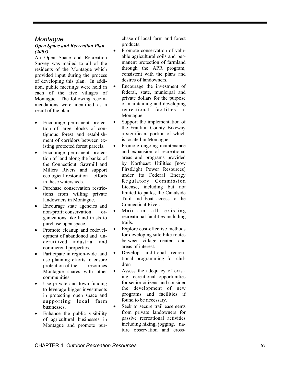# *Montague*

## *Open Space and Recreation Plan (2003)*

An Open Space and Recreation Survey was mailed to all of the residents of the Montague which provided input during the process of developing this plan. In addition, public meetings were held in each of the five villages of Montague. The following recommendations were identified as a result of the plan:

- Encourage permanent protection of large blocks of contiguous forest and establishment of corridors between existing protected forest parcels.
- Encourage permanent protection of land along the banks of the Connecticut, Sawmill and Millers Rivers and support ecological restoration efforts in these watersheds.
- Purchase conservation restrictions from willing private landowners in Montague.
- Encourage state agencies and non-profit conservation organizations like hand trusts to purchase open space.
- Promote cleanup and redevelopment of abandoned and underutilized industrial and commercial properties.
- Participate in region-wide land use planning efforts to ensure protection of the resources Montague shares with other communities.
- Use private and town funding to leverage bigger investments in protecting open space and supporting local farm businesses.
- Enhance the public visibility of agricultural businesses in Montague and promote pur-

chase of local farm and forest products.

- Promote conservation of valuable agricultural soils and permanent protection of farmland through the APR program, consistent with the plans and desires of landowners.
- Encourage the investment of federal, state, municipal and private dollars for the purpose of maintaining and developing recreational facilities in Montague.
- Support the implementation of the Franklin County Bikeway a significant portion of which is located in Montague.
- Promote ongoing maintenance and expansion of recreational areas and programs provided by Northeast Utilities [now FirstLight Power Resources] under its Federal Energy Regulatory Commission License, including but not limited to parks, the Canalside Trail and boat access to the Connecticut River.
- Maintain all existing recreational facilities including trails.
- Explore cost-effective methods for developing safe bike routes between village centers and areas of interest.
- Develop additional recreational programming for children
- Assess the adequacy of existing recreational opportunities for senior citizens and consider the development of new programs and facilities if found to be necessary.
- Seek to secure trail easements from private landowners for passive recreational activities including hiking, jogging, nature observation and cross-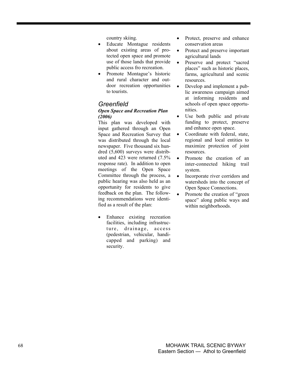country skiing.

- Educate Montague residents about existing areas of protected open space and promote use of those lands that provide public access fro recreation.
- Promote Montague's historic and rural character and outdoor recreation opportunities to tourists.

# *Greenfield*

## *Open Space and Recreation Plan (2006)*

This plan was developed with input gathered through an Open Space and Recreation Survey that was distributed through the local newspaper. Five thousand six hundred (5,600) surveys were distributed and 423 were returned (7.5% response rate). In addition to open meetings of the Open Space Committee through the process, a public hearing was also held as an opportunity for residents to give feedback on the plan. The following recommendations were identified as a result of the plan:

• Enhance existing recreation facilities, including infrastructure, drainage, access (pedestrian, vehicular, handicapped and parking) and security.

- Protect, preserve and enhance conservation areas
- Protect and preserve important agricultural lands
- Preserve and protect "sacred" places" such as historic places, farms, agricultural and scenic resources.
- Develop and implement a public awareness campaign aimed at informing residents and schools of open space opportunities.
- Use both public and private funding to protect, preserve and enhance open space.
- Coordinate with federal, state, regional and local entities to maximize protection of joint resources.
- Promote the creation of an inter-connected hiking trail system.
- Incorporate river corridors and watersheds into the concept of Open Space Connections.
- Promote the creation of "green" space" along public ways and within neighborhoods.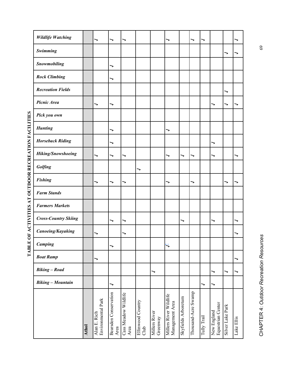| <b>Wildlife Watching</b>    |       | ╮                                  | ╮                             |                              |                           |                           | ╮                                         |                     | ╮                   | ╮           |                                  |                  |            |
|-----------------------------|-------|------------------------------------|-------------------------------|------------------------------|---------------------------|---------------------------|-------------------------------------------|---------------------|---------------------|-------------|----------------------------------|------------------|------------|
| Swimming                    |       |                                    |                               |                              |                           |                           |                                           |                     |                     |             |                                  | ↘                |            |
| Snowmobiling                |       |                                    | ╮                             |                              |                           |                           |                                           |                     |                     |             |                                  |                  |            |
| <b>Rock Climbing</b>        |       |                                    | ╮                             |                              |                           |                           |                                           |                     |                     |             |                                  |                  |            |
| <b>Recreation Fields</b>    |       |                                    |                               |                              |                           |                           |                                           |                     |                     |             |                                  | ╮                |            |
| Picnic Area                 |       | ╮                                  | ╮                             |                              |                           |                           |                                           |                     |                     |             | ╮                                | ╮                |            |
| Pick you own                |       |                                    |                               |                              |                           |                           |                                           |                     |                     |             |                                  |                  |            |
| <b>Hunting</b>              |       |                                    | ╮                             |                              |                           |                           | ╮                                         |                     |                     |             |                                  |                  |            |
| <b>Horseback Riding</b>     |       |                                    | ╮                             |                              |                           |                           |                                           |                     |                     |             | ╮                                |                  |            |
| Hiking/Snowshoeing          |       | ╮                                  | ╮                             | ╮                            |                           |                           | ╮                                         | ╮                   | ╮                   |             | ╮                                |                  |            |
| Golfing                     |       |                                    |                               |                              | >                         |                           |                                           |                     |                     |             |                                  |                  |            |
| <b>Fishing</b>              |       | ╮                                  | ╮                             | ╮                            |                           |                           | ╮                                         |                     | ╮                   |             |                                  | ↘                |            |
| <b>Farm Stands</b>          |       |                                    |                               |                              |                           |                           |                                           |                     |                     |             |                                  |                  |            |
| <b>Farmers Markets</b>      |       |                                    |                               |                              |                           |                           |                                           |                     |                     |             |                                  |                  |            |
| <b>Cross-Country Skiing</b> |       |                                    | ╮                             | ╮                            |                           |                           |                                           | ╮                   |                     |             | ╮                                |                  | ╮          |
| Canoeing/Kayaking           |       |                                    |                               |                              |                           |                           |                                           |                     |                     |             |                                  |                  |            |
| Camping                     |       |                                    | ╮                             |                              |                           |                           | $\ddot{\phantom{0}}$                      |                     |                     |             |                                  |                  |            |
| <b>Boat Ramp</b>            |       | ╮                                  |                               |                              |                           |                           |                                           |                     |                     |             |                                  |                  | ╮          |
| <b>Biking</b> - Road        |       |                                    |                               |                              |                           | ╮                         |                                           |                     |                     |             | ╮                                | ╮                | ╮          |
| <b>Biking - Mountain</b>    |       |                                    | ↘                             |                              |                           |                           |                                           |                     |                     | ╮           | ╮                                |                  |            |
|                             | Athol | Environmental Park<br>Alan E. Rich | Bearsden Conservation<br>Area | Cass Meadow Wildlife<br>Area | Ellinwood Country<br>Club | Millers River<br>Greenway | Millers River Wildlife<br>Management Area | Skyfields Arboretum | Thousand-Acre Swamp | Tully Trail | New England<br>Equestrian Center | Silver Lake Park | Lake Ellis |

CHAPTER 4: Outdoor Recreation Resources CHAPTER 4: *Outdoor Recreation Resources*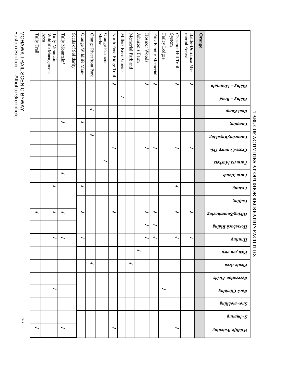MOHAWK TRAIL SCENIC BYWAY<br>Eastern Section — Athol to Greenfield Eastern Section — Athol to Greenfield MOHAWK TRAIL SCENIC BYWAY

|                                                                                                                | Orange | morial Forest<br>Batile-Dorrance Me- | System<br>Chestnut Hill Trail | Farley Ledges | Fittz Family Memorial | Hosmer Woods | Johnson's Farm | Memorial Park and | Millers River Green- | North Pond Ridge Trail | Market<br>Orange<br>Farmers | Orange Riverfront Park | Orange Wildlife Man- | Seeds of Solidarity | Tully Mountain* | Area<br>Tully Mountain<br>Wildlife Management | Tully Trail |
|----------------------------------------------------------------------------------------------------------------|--------|--------------------------------------|-------------------------------|---------------|-----------------------|--------------|----------------|-------------------|----------------------|------------------------|-----------------------------|------------------------|----------------------|---------------------|-----------------|-----------------------------------------------|-------------|
| Biking - Mountain                                                                                              |        | $\overline{\phantom{0}}$             | ∼                             |               | ∼                     | ╰            |                |                   |                      | ∼                      |                             |                        |                      |                     |                 |                                               |             |
| $\boldsymbol{p}\boldsymbol{p}\boldsymbol{o}\boldsymbol{y}$ - $\boldsymbol{S}$ u $\boldsymbol{p}\boldsymbol{q}$ |        |                                      |                               |               |                       |              |                |                   | ∼                    |                        |                             |                        |                      |                     |                 |                                               |             |
| Boat Ranp                                                                                                      |        |                                      |                               |               |                       |              |                |                   |                      |                        |                             | ∼                      |                      |                     |                 |                                               |             |
| <i><b>Suidun</b></i>                                                                                           |        |                                      |                               |               |                       |              |                |                   |                      |                        |                             |                        | ∼                    |                     | ∼               |                                               |             |
| Canocing/Paisons                                                                                               |        |                                      |                               |               |                       |              |                |                   |                      |                        |                             | ∼                      |                      |                     |                 |                                               |             |
| Cross-Country Ski-                                                                                             |        | $\overline{\phantom{0}}$             | ∼                             |               | ∼                     | ╰            |                |                   |                      | ∼                      |                             |                        |                      |                     |                 |                                               |             |
| $\mathfrak{soy}$ ang sabulang sa                                                                               |        |                                      |                               |               |                       |              |                |                   |                      |                        | ∼                           |                        |                      |                     |                 |                                               |             |
| <b>Spupig</b> <i>ultip</i>                                                                                     |        |                                      |                               |               |                       |              |                |                   |                      |                        |                             |                        |                      |                     | ∼               |                                               |             |
| Pishing                                                                                                        |        |                                      | ∼                             |               |                       |              |                |                   |                      |                        |                             |                        | ∼                    |                     |                 | ∼                                             |             |
| $\mathcal{S} \mathcal{u} \mathcal{A}$ jo $\mathcal{O}$                                                         |        |                                      |                               |               |                       |              |                |                   |                      |                        |                             |                        |                      |                     |                 |                                               |             |
| gnisonewonZ\gnisliH                                                                                            |        | $\overline{\phantom{0}}$             | ∼                             |               | ∼                     | ∼            |                |                   |                      | ∼                      |                             |                        | ∼                    |                     | ∼               | ∼                                             | ∼           |
| <b>Rorseback Riding</b>                                                                                        |        |                                      |                               |               | ∼                     | ∼            |                |                   |                      |                        |                             |                        |                      |                     |                 |                                               |             |
| <b>SununH</b>                                                                                                  |        |                                      |                               |               |                       |              |                |                   |                      |                        |                             |                        |                      |                     |                 |                                               |             |
| имо пол уэң                                                                                                    |        |                                      |                               |               |                       |              | ∼              |                   |                      |                        |                             |                        |                      |                     |                 |                                               |             |
| Picnic Area                                                                                                    |        |                                      |                               |               |                       |              |                | ∼                 |                      |                        |                             | ∼                      |                      |                     |                 |                                               |             |
| Recreation Fields                                                                                              |        |                                      |                               |               |                       |              |                |                   |                      |                        |                             |                        |                      |                     |                 |                                               |             |
| Rock Climbing                                                                                                  |        |                                      |                               | ╰             |                       |              |                |                   |                      |                        |                             |                        |                      |                     |                 | ∼                                             |             |
| Sungomwong                                                                                                     |        |                                      |                               |               |                       |              |                |                   |                      |                        |                             |                        |                      |                     |                 |                                               |             |
| SnimmiwZ                                                                                                       |        |                                      |                               |               |                       |              |                |                   |                      |                        |                             |                        |                      |                     |                 |                                               |             |
| <b>Buidon Waching</b>                                                                                          |        |                                      | ∼                             |               |                       |              |                |                   |                      | ∼                      |                             |                        |                      |                     | ∼               |                                               | ∼           |

TABLE OF ACTIVITIES AT OUTDOOR RECREATION FACILITIES **TABLE OF ACTIVITIES AT OUTDOOR RECREATION FACILITIES**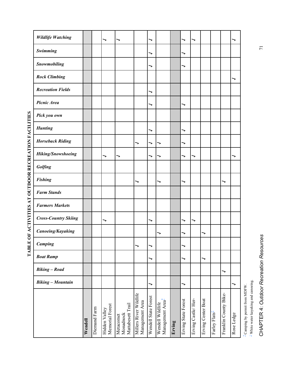|         | ╮            | ╮                                |                                             | ╮                                         |                      |                                                  | ╮      | ╮                   |                    |                    |                           | ╮                     |                                                                             |
|---------|--------------|----------------------------------|---------------------------------------------|-------------------------------------------|----------------------|--------------------------------------------------|--------|---------------------|--------------------|--------------------|---------------------------|-----------------------|-----------------------------------------------------------------------------|
|         |              |                                  |                                             | ╮                                         |                      |                                                  | ╮      |                     |                    |                    |                           |                       |                                                                             |
|         |              |                                  |                                             | ╮                                         |                      |                                                  | ╮      |                     |                    |                    |                           |                       |                                                                             |
|         |              |                                  |                                             |                                           |                      |                                                  |        |                     |                    |                    |                           | ╮                     |                                                                             |
|         |              |                                  |                                             | ⇁                                         |                      |                                                  |        |                     |                    |                    |                           |                       |                                                                             |
|         |              |                                  |                                             | ╮                                         |                      |                                                  | ╮      |                     |                    |                    |                           |                       |                                                                             |
|         |              |                                  |                                             |                                           |                      |                                                  |        |                     |                    |                    |                           |                       |                                                                             |
|         |              |                                  |                                             | ╮                                         |                      |                                                  | ╮      |                     |                    |                    |                           |                       |                                                                             |
|         |              |                                  | ⇁                                           | ⇁                                         | ╮                    |                                                  | ╮      |                     |                    |                    |                           |                       |                                                                             |
|         | ↘            | ↘                                |                                             | ╮                                         | ╮                    |                                                  | ╮      | ╮                   |                    |                    |                           | ╮                     |                                                                             |
|         |              |                                  |                                             |                                           |                      |                                                  |        |                     |                    |                    |                           |                       |                                                                             |
|         |              |                                  | ╮                                           |                                           | ⇁                    |                                                  | ╮      |                     |                    |                    | ↘                         |                       |                                                                             |
|         |              |                                  |                                             |                                           |                      |                                                  |        |                     |                    |                    |                           |                       |                                                                             |
|         |              |                                  |                                             |                                           |                      |                                                  |        |                     |                    |                    |                           |                       |                                                                             |
|         | ╮            |                                  |                                             | ╮                                         |                      |                                                  | ↘      | ╮                   |                    |                    |                           |                       |                                                                             |
|         |              |                                  |                                             |                                           | ╮                    |                                                  | ↘      |                     | ╮                  |                    |                           |                       |                                                                             |
|         |              |                                  | ╮                                           | ╮                                         |                      |                                                  | ╮      |                     |                    |                    |                           |                       |                                                                             |
|         |              |                                  |                                             | ╮                                         |                      |                                                  | ╮      |                     | ╮                  |                    |                           |                       |                                                                             |
|         |              |                                  |                                             |                                           |                      |                                                  |        |                     |                    |                    | ╮                         |                       |                                                                             |
|         |              |                                  |                                             | -                                         |                      |                                                  | ╮      |                     |                    |                    |                           | ╮                     |                                                                             |
|         |              |                                  |                                             |                                           |                      |                                                  |        |                     |                    |                    |                           |                       | $^\pm$ White water kayaking and canoeing.<br>- Camping by permit from MDFW. |
| Wendell | Diemand Farm | Memorial Forest<br>Hidden Valley | Mattabesett Trail<br>Monadnock<br>Metacomet | Millers River Wildlife<br>Management Area | Wendell State Forest | Wendell Wildlife<br>Management Area <sup>*</sup> | Erving | Erving State Forest | Erving Castle/Her- | Erving Center Boat | Farley Flats <sup>+</sup> | Franklin County Bike- | Rose Ledge                                                                  |

TABLE OF ACTIVITIES AT OUTDOOR RECREATION FACILITIES **TABLE OF ACTIVITIES AT OUTDOOR RECREATION FACILITIES** 

CHAPTER 4: Outdoor Recreation Resources CHAPTER 4: *Outdoor Recreation Resources*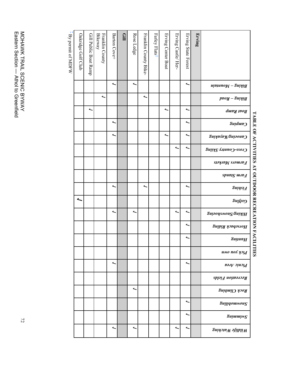|                                                                                                     | Erving | Erving State Forest      | Erving Castle/ Her- | Erving Center Boat | Farley Flats <sup>+</sup> | Franklin County Bike-    | Rose Ledge | Gill | Barton Cove+ | <b>Bikeway</b><br>Franklin County | Gill Public Boat Ramp | Oakridge Golf Club | $\frac{1}{2}$<br>By permit of MDFW |
|-----------------------------------------------------------------------------------------------------|--------|--------------------------|---------------------|--------------------|---------------------------|--------------------------|------------|------|--------------|-----------------------------------|-----------------------|--------------------|------------------------------------|
| Biking - Mountain                                                                                   |        | $\overline{\phantom{0}}$ |                     |                    |                           |                          | ∼          |      | ∼            |                                   |                       |                    |                                    |
| $\boldsymbol{p}\boldsymbol{p}\boldsymbol{o}\boldsymbol{y}$ - $\boldsymbol{S}$ uiyi $\boldsymbol{q}$ |        |                          |                     |                    |                           | ∼                        |            |      |              | ∼                                 |                       |                    |                                    |
| <b>goat</b> Ranp                                                                                    |        | ∼                        |                     | ∼                  |                           |                          |            |      |              |                                   | ∼                     |                    |                                    |
| <i><b>Suidun</b></i>                                                                                |        | ∼                        |                     |                    |                           |                          |            |      | ∼            |                                   |                       |                    |                                    |
| Canoeing/Rayang                                                                                     |        | ∼                        |                     | ∼                  |                           |                          |            |      | أ            |                                   |                       |                    |                                    |
| Cross-Country Skiins                                                                                |        | ∼                        | ؞                   |                    |                           |                          |            |      |              |                                   |                       |                    |                                    |
| $\mathfrak{soy}$ ang sabuan $\mathfrak{g}$                                                          |        |                          |                     |                    |                           |                          |            |      |              |                                   |                       |                    |                                    |
| Physical Standard                                                                                   |        |                          |                     |                    |                           |                          |            |      |              |                                   |                       |                    |                                    |
| <b>gninei</b> <sup>1</sup>                                                                          |        | ∼                        |                     |                    |                           | $\overline{\phantom{0}}$ |            |      | ∼            |                                   |                       |                    |                                    |
| <i><b>Suffog</b></i>                                                                                |        |                          |                     |                    |                           |                          |            |      |              |                                   |                       | ື                  |                                    |
| Buisonewon ZanisiH                                                                                  |        | ∼                        | ۰                   |                    |                           |                          | ∼          |      | ∼            |                                   |                       |                    |                                    |
| <b>Rorseback Riding</b>                                                                             |        | ∼                        |                     |                    |                           |                          |            |      |              |                                   |                       |                    |                                    |
| <b>SununH</b>                                                                                       |        | ∼                        |                     |                    |                           |                          |            |      |              |                                   |                       |                    |                                    |
| имо пол уэң                                                                                         |        |                          |                     |                    |                           |                          |            |      |              |                                   |                       |                    |                                    |
| Picnic Area                                                                                         |        | ∼                        |                     |                    |                           |                          |            |      | ∼            |                                   |                       |                    |                                    |
| Recreation Fields                                                                                   |        |                          |                     |                    |                           |                          |            |      |              |                                   |                       |                    |                                    |
| Rock Climbing                                                                                       |        |                          |                     |                    |                           |                          | ∼          |      |              |                                   |                       |                    |                                    |
| SuilidomwonZ                                                                                        |        | ∼                        |                     |                    |                           |                          |            |      |              |                                   |                       |                    |                                    |
| Snimmiw <sup>2</sup>                                                                                |        | ∼                        |                     |                    |                           |                          |            |      |              |                                   |                       |                    |                                    |
| <b>Rildife Waching</b>                                                                              |        | ∼                        | ∼                   |                    |                           |                          | ۰          |      | ∼            |                                   |                       |                    |                                    |

**TABLE OF ACTIVITIES AT OUTDOOR RECREATION FACILITIES** 

TABLE OF ACTIVITIES AT OUTDOOR RECREATION FACILITIES

 $\overline{a}$ 

MOHAWK TRAIL SCENIC BYWAY<br>Eastern Section — Athol to Greenfield Eastern Section — Athol to Greenfield MOHAWK TRAIL SCENIC BYWAY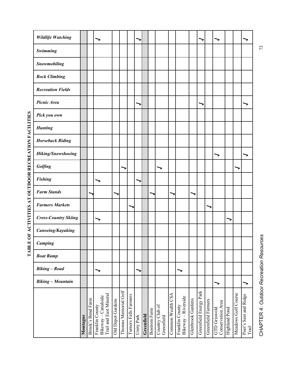| <b>Wildlife Watching</b>    |          |                   |                                                                  |                   |                          |                       | $\overline{\phantom{0}}$ |            |                     |                               |                   |                                        |                          |                        |                    | ╮                                               |               |                     |                                |
|-----------------------------|----------|-------------------|------------------------------------------------------------------|-------------------|--------------------------|-----------------------|--------------------------|------------|---------------------|-------------------------------|-------------------|----------------------------------------|--------------------------|------------------------|--------------------|-------------------------------------------------|---------------|---------------------|--------------------------------|
| Swimming                    |          |                   |                                                                  |                   |                          |                       |                          |            |                     |                               |                   |                                        |                          |                        |                    |                                                 |               |                     |                                |
| Snowmobiling                |          |                   |                                                                  |                   |                          |                       |                          |            |                     |                               |                   |                                        |                          |                        |                    |                                                 |               |                     |                                |
| <b>Rock Climbing</b>        |          |                   |                                                                  |                   |                          |                       |                          |            |                     |                               |                   |                                        |                          |                        |                    |                                                 |               |                     |                                |
| <b>Recreation Fields</b>    |          |                   |                                                                  |                   |                          |                       |                          |            |                     |                               |                   |                                        |                          |                        |                    |                                                 |               |                     |                                |
| Picnic Area                 |          |                   |                                                                  |                   |                          |                       | >                        |            |                     |                               |                   |                                        |                          |                        |                    |                                                 |               |                     |                                |
| Pick you own                |          |                   |                                                                  |                   |                          |                       |                          |            |                     |                               |                   |                                        |                          |                        |                    |                                                 |               |                     |                                |
| <b>Hunting</b>              |          |                   |                                                                  |                   |                          |                       |                          |            |                     |                               |                   |                                        |                          |                        |                    |                                                 |               |                     |                                |
| <b>Horseback Riding</b>     |          |                   |                                                                  |                   |                          |                       |                          |            |                     |                               |                   |                                        |                          |                        |                    |                                                 |               |                     |                                |
| Hiking/Snowshoeing          |          |                   |                                                                  |                   |                          |                       |                          |            |                     |                               |                   |                                        |                          |                        |                    | ↘                                               |               |                     |                                |
| Golfing                     |          |                   |                                                                  |                   | $\overline{\phantom{0}}$ |                       |                          |            |                     |                               |                   |                                        |                          |                        |                    |                                                 |               |                     |                                |
| <b>Fishing</b>              |          |                   |                                                                  |                   |                          |                       |                          |            |                     |                               |                   |                                        |                          |                        |                    |                                                 |               |                     |                                |
| <b>Farm Stands</b>          |          |                   |                                                                  |                   |                          |                       |                          |            |                     |                               |                   |                                        | $\overline{\phantom{0}}$ |                        |                    |                                                 |               |                     |                                |
| <b>Farmers Markets</b>      |          |                   |                                                                  |                   |                          |                       |                          |            |                     |                               |                   |                                        |                          |                        |                    |                                                 |               |                     |                                |
| <b>Cross-Country Skiing</b> |          |                   |                                                                  |                   |                          |                       |                          |            |                     |                               |                   |                                        |                          |                        |                    |                                                 | $\rightarrow$ |                     |                                |
| Canoeing/Kayaking           |          |                   |                                                                  |                   |                          |                       |                          |            |                     |                               |                   |                                        |                          |                        |                    |                                                 |               |                     |                                |
| <b>Camping</b>              |          |                   |                                                                  |                   |                          |                       |                          |            |                     |                               |                   |                                        |                          |                        |                    |                                                 |               |                     |                                |
| <b>Boat Ramp</b>            |          |                   |                                                                  |                   |                          |                       |                          |            |                     |                               |                   |                                        |                          |                        |                    |                                                 |               |                     |                                |
| <b>Biking</b> - Road        |          |                   | $\overline{\phantom{0}}$                                         |                   |                          |                       | $\overline{\phantom{0}}$ |            |                     |                               |                   | ↘                                      |                          |                        |                    |                                                 |               |                     |                                |
| <b>Biking - Mountain</b>    |          |                   |                                                                  |                   |                          |                       |                          |            |                     |                               |                   |                                        |                          |                        |                    | ⇁                                               |               |                     | >                              |
|                             | Montague | Brook's Bend Farm | Trail and East Mineral<br>Bikeway - Canalside<br>Franklin County | Old Depot Gardens | Thomas Memorial Golf     | Turners Falls Farmers | Unity Park               | Greenfield | <b>Bostrom Farm</b> | Country Club of<br>Greenfield | Common Wealth CSA | Bikeway - Riverside<br>Franklin County | Glenbrook Gardens        | Greenfield Energy Park | Greenfield Farmers | <b>Conservation Area</b><br><b>GTD</b> Griswold | Highland Pond | Meadows Golf Course | Poet's Seat and Ridge<br>Trail |

TABLE OF ACTIVITIES AT OUTDOOR RECREATION FACILITIES **TABLE OF ACTIVITIES AT OUTDOOR RECREATION FACILITIES** 

CHAPTER 4: Outdoor Recreation Resources CHAPTER 4: *Outdoor Recreation Resources*

73